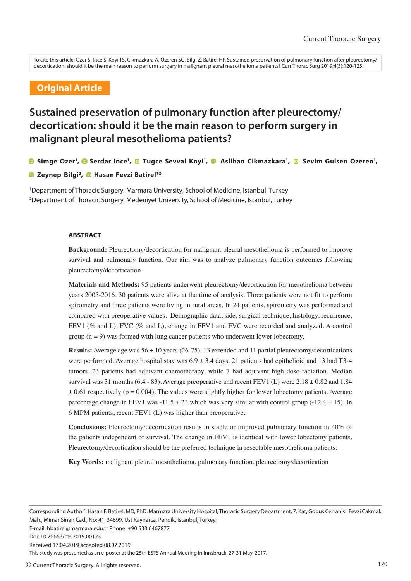To cite this article: Ozer S, Ince S, Koyi TS, Cikmazkara A, Ozeren SG, Bilgi Z, Batirel HF. Sustained preservation of pulmonary function after pleurectomy/ decortication: should it be the main reason to perform surgery in malignant pleural mesothelioma patients? Curr Thorac Surg 2019;4(3):120-125.

## **Original Article**

# **Sustained preservation of pulmonary function after pleurectomy/ decortication: should it be the main reason to perform surgery in malignant pleural mesothelioma patients?**

**Simge Ozer<sup>1</sup> ,Serdar Ince<sup>1</sup> , Tugce Sevval Koyi<sup>1</sup> , Aslihan Cikmazkara<sup>1</sup> , Sevim Gulsen Ozeren<sup>1</sup> ,** 

#### **Zeynep Bilgi<sup>2</sup> , Hasan Fevzi Batirel<sup>1</sup>\***

<sup>1</sup>Department of Thoracic Surgery, Marmara University, School of Medicine, Istanbul, Turkey <sup>2</sup>Department of Thoracic Surgery, Medeniyet University, School of Medicine, Istanbul, Turkey

#### **ABSTRACT**

**Background:** Pleurectomy/decortication for malignant pleural mesothelioma is performed to improve survival and pulmonary function. Our aim was to analyze pulmonary function outcomes following pleurectomy/decortication.

**Materials and Methods:** 95 patients underwent pleurectomy/decortication for mesothelioma between years 2005-2016. 30 patients were alive at the time of analysis. Three patients were not fit to perform spirometry and three patients were living in rural areas. In 24 patients, spirometry was performed and compared with preoperative values. Demographic data, side, surgical technique, histology, recurrence, FEV1 (% and L), FVC (% and L), change in FEV1 and FVC were recorded and analyzed. A control group  $(n = 9)$  was formed with lung cancer patients who underwent lower lobectomy.

**Results:** Average age was  $56 \pm 10$  years (26-75). 13 extended and 11 partial pleurectomy/decortications were performed. Average hospital stay was  $6.9 \pm 3.4$  days. 21 patients had epithelioid and 13 had T3-4 tumors. 23 patients had adjuvant chemotherapy, while 7 had adjuvant high dose radiation. Median survival was 31 months  $(6.4 - 83)$ . Average preoperative and recent FEV1 (L) were  $2.18 \pm 0.82$  and 1.84  $\pm$  0.61 respectively (p = 0.004). The values were slightly higher for lower lobectomy patients. Average percentage change in FEV1 was  $-11.5 \pm 23$  which was very similar with control group  $(-12.4 \pm 15)$ . In 6 MPM patients, recent FEV1 (L) was higher than preoperative.

**Conclusions:** Pleurectomy/decortication results in stable or improved pulmonary function in 40% of the patients independent of survival. The change in FEV1 is identical with lower lobectomy patients. Pleurectomy/decortication should be the preferred technique in resectable mesothelioma patients.

**Key Words:** malignant pleural mesothelioma, pulmonary function, pleurectomy/decortication

Corresponding Author<sup>\*</sup>: Hasan F. Batirel, MD, PhD. Marmara University Hospital, Thoracic Surgery Department, 7. Kat, Gogus Cerrahisi. Fevzi Cakmak Mah., Mimar Sinan Cad., No: 41, 34899, Ust Kaynarca, Pendik, Istanbul, Turkey.

E-mail: hbatirel@marmara.edu.tr Phone: +90 533 6467877

Received 17.04.2019 accepted 08.07.2019

This study was presented as an e-poster at the 25th ESTS Annual Meeting in Innsbruck, 27-31 May, 2017.

Doi: 10.26663/cts.2019.00123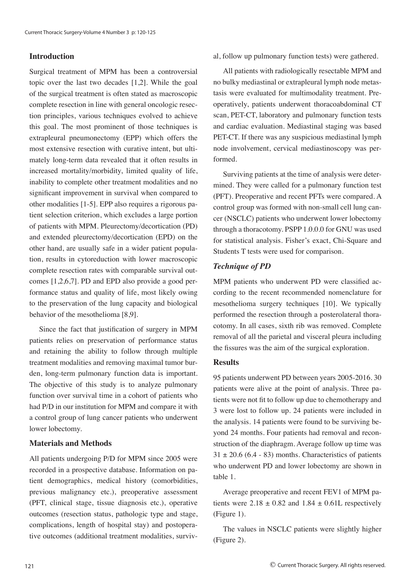## **Introduction**

Surgical treatment of MPM has been a controversial topic over the last two decades [1,2]. While the goal of the surgical treatment is often stated as macroscopic complete resection in line with general oncologic resection principles, various techniques evolved to achieve this goal. The most prominent of those techniques is extrapleural pneumonectomy (EPP) which offers the most extensive resection with curative intent, but ultimately long-term data revealed that it often results in increased mortality/morbidity, limited quality of life, inability to complete other treatment modalities and no significant improvement in survival when compared to other modalities [1-5]. EPP also requires a rigorous patient selection criterion, which excludes a large portion of patients with MPM. Pleurectomy/decortication (PD) and extended pleurectomy/decortication (EPD) on the other hand, are usually safe in a wider patient population, results in cytoreduction with lower macroscopic complete resection rates with comparable survival outcomes [1,2,6,7]. PD and EPD also provide a good performance status and quality of life, most likely owing to the preservation of the lung capacity and biological behavior of the mesothelioma [8,9].

Since the fact that justification of surgery in MPM patients relies on preservation of performance status and retaining the ability to follow through multiple treatment modalities and removing maximal tumor burden, long-term pulmonary function data is important. The objective of this study is to analyze pulmonary function over survival time in a cohort of patients who had P/D in our institution for MPM and compare it with a control group of lung cancer patients who underwent lower lobectomy.

### **Materials and Methods**

All patients undergoing P/D for MPM since 2005 were recorded in a prospective database. Information on patient demographics, medical history (comorbidities, previous malignancy etc.), preoperative assessment (PFT, clinical stage, tissue diagnosis etc.), operative outcomes (resection status, pathologic type and stage, complications, length of hospital stay) and postoperative outcomes (additional treatment modalities, surviv-

#### al, follow up pulmonary function tests) were gathered.

All patients with radiologically resectable MPM and no bulky mediastinal or extrapleural lymph node metastasis were evaluated for multimodality treatment. Preoperatively, patients underwent thoracoabdominal CT scan, PET-CT, laboratory and pulmonary function tests and cardiac evaluation. Mediastinal staging was based PET-CT. If there was any suspicious mediastinal lymph node involvement, cervical mediastinoscopy was performed.

Surviving patients at the time of analysis were determined. They were called for a pulmonary function test (PFT). Preoperative and recent PFTs were compared. A control group was formed with non-small cell lung cancer (NSCLC) patients who underwent lower lobectomy through a thoracotomy. PSPP 1.0.0.0 for GNU was used for statistical analysis. Fisher's exact, Chi-Square and Students T tests were used for comparison.

### *Technique of PD*

MPM patients who underwent PD were classified according to the recent recommended nomenclature for mesothelioma surgery techniques [10]. We typically performed the resection through a posterolateral thoracotomy. In all cases, sixth rib was removed. Complete removal of all the parietal and visceral pleura including the fissures was the aim of the surgical exploration.

#### **Results**

95 patients underwent PD between years 2005-2016. 30 patients were alive at the point of analysis. Three patients were not fit to follow up due to chemotherapy and 3 were lost to follow up. 24 patients were included in the analysis. 14 patients were found to be surviving beyond 24 months. Four patients had removal and reconstruction of the diaphragm. Average follow up time was  $31 \pm 20.6$  (6.4 - 83) months. Characteristics of patients who underwent PD and lower lobectomy are shown in table 1.

Average preoperative and recent FEV1 of MPM patients were  $2.18 \pm 0.82$  and  $1.84 \pm 0.61$ L respectively (Figure 1).

The values in NSCLC patients were slightly higher (Figure 2).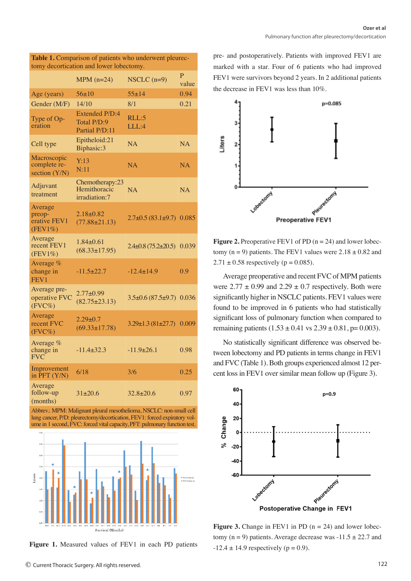| <b>Table 1.</b> Comparison of patients who underwent pleurec-<br>tomy decortication and lower lobectomy. |                                                        |                                      |            |  |  |  |
|----------------------------------------------------------------------------------------------------------|--------------------------------------------------------|--------------------------------------|------------|--|--|--|
|                                                                                                          | $MPM$ (n=24)                                           | $NSCLC$ (n=9)                        | P<br>value |  |  |  |
| Age (years)                                                                                              | $56 \pm 10$                                            | $55+14$                              | 0.94       |  |  |  |
| Gender (M/F)                                                                                             | 14/10                                                  | 8/1                                  | 0.21       |  |  |  |
| Type of Op-<br>eration                                                                                   | <b>Extended P/D:4</b><br>Total P/D:9<br>Partial P/D:11 | RLL:5<br>LLL:4                       |            |  |  |  |
| Cell type                                                                                                | Epitheloid:21<br>Biphasic:3                            | <b>NA</b>                            | <b>NA</b>  |  |  |  |
| Macroscopic<br>complete re-<br>section (Y/N)                                                             | Y:13<br>N:11                                           | NA                                   | NA         |  |  |  |
| Adjuvant<br>treatment                                                                                    | Chemotherapy:23<br>Hemithoracic<br>irradiation:7       | <b>NA</b>                            | NA         |  |  |  |
| Average<br>preop-<br>erative FEV1<br>$(FEV1\%)$                                                          | $2.18 + 0.82$<br>$(77.88 \pm 21.13)$                   | $2.7\pm0.5(83.1\pm9.7)$ 0.085        |            |  |  |  |
| Average<br>recent FEV1<br>$(FEV1\%)$                                                                     | $1.84 \pm 0.61$<br>$(68.33 \pm 17.95)$                 | $2.4\pm 0.8$ (75.2 $\pm$ 20.5) 0.039 |            |  |  |  |
| Average %<br>change in<br>FEV <sub>1</sub>                                                               | $-11.5+22.7$                                           | $-12.4 \pm 14.9$                     | 0.9        |  |  |  |
| Average pre-<br>operative FVC<br>$(FVC\%)$                                                               | $2.77 \pm 0.99$<br>$(82.75 \pm 23.13)$                 | $3.5\pm0.6$ (87.5 $\pm$ 9.7) 0.036   |            |  |  |  |
| Average<br>recent FVC<br>$(FVC\%)$                                                                       | $2.29 \pm 0.7$<br>$(69.33 \pm 17.78)$                  | $3.29 \pm 1.3 (81 \pm 27.7)$         | 0.009      |  |  |  |
| Average %<br>change in<br><b>FVC</b>                                                                     | $-11.4 \pm 32.3$                                       | $-11.9\pm 26.1$                      | 0.98       |  |  |  |
| Improvement<br>in $\overline{PFT}$ $(Y/N)$                                                               | 6/18                                                   | 3/6                                  | 0.25       |  |  |  |
| Average<br>follow-up<br>(months)                                                                         | $31 + 20.6$                                            | $32.8 + 20.6$                        | 0.97       |  |  |  |

**Table 1.** Comparison of patients who underwent pleurec-

Abbrev.: MPM: Malignant pleural mesothelioma, NSCLC: non-small cell lung cancer, P/D: pleurectomy/decortication, FEV1: forced expiratory volume in 1 second, FVC: forced vital capacity, PFT: pulmonary function test.



**Figure 1.** Measured values of FEV1 in each PD patients

pre- and postoperatively. Patients with improved FEV1 are marked with a star. Four of 6 patients who had improved FEV1 were survivors beyond 2 years. In 2 additional patients the decrease in FEV1 was less than 10%.



**Figure 2.** Preoperative FEV1 of PD  $(n = 24)$  and lower lobectomy (n = 9) patients. The FEV1 values were  $2.18 \pm 0.82$  and  $2.71 \pm 0.58$  respectively (p = 0.085).

Average preoperative and recent FVC of MPM patients were  $2.77 \pm 0.99$  and  $2.29 \pm 0.7$  respectively. Both were significantly higher in NSCLC patients. FEV1 values were found to be improved in 6 patients who had statistically significant loss of pulmonary function when compared to remaining patients  $(1.53 \pm 0.41 \text{ vs } 2.39 \pm 0.81, \text{p} = 0.003)$ .

No statistically significant difference was observed between lobectomy and PD patients in terms change in FEV1 and FVC (Table 1). Both groups experienced almost 12 percent loss in FEV1 over similar mean follow up (Figure 3).



**Figure 3.** Change in FEV1 in PD  $(n = 24)$  and lower lobectomy ( $n = 9$ ) patients. Average decrease was  $-11.5 \pm 22.7$  and  $-12.4 \pm 14.9$  respectively (p = 0.9).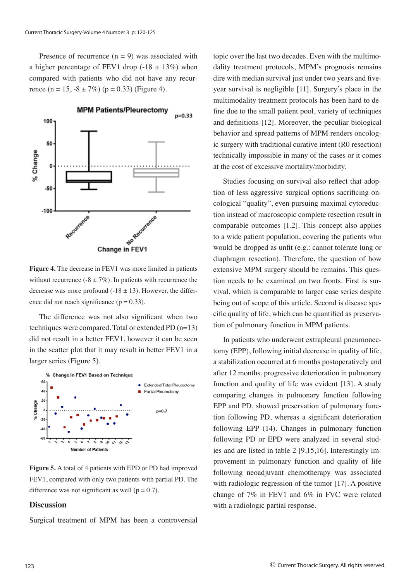Presence of recurrence  $(n = 9)$  was associated with a higher percentage of FEV1 drop (-18  $\pm$  13%) when compared with patients who did not have any recurrence  $(n = 15, -8 \pm 7\%)$   $(p = 0.33)$  (Figure 4).



**Figure 4.** The decrease in FEV1 was more limited in patients without recurrence (-8  $\pm$  7%). In patients with recurrence the decrease was more profound  $(-18 \pm 13)$ . However, the difference did not reach significance ( $p = 0.33$ ).

The difference was not also significant when two techniques were compared. Total or extended PD (n=13) did not result in a better FEV1, however it can be seen in the scatter plot that it may result in better FEV1 in a larger series (Figure 5).



**Figure 5.** A total of 4 patients with EPD or PD had improved FEV1, compared with only two patients with partial PD. The difference was not significant as well ( $p = 0.7$ ).

#### **Discussion**

Surgical treatment of MPM has been a controversial

topic over the last two decades. Even with the multimodality treatment protocols, MPM's prognosis remains dire with median survival just under two years and fiveyear survival is negligible [11]. Surgery's place in the multimodality treatment protocols has been hard to define due to the small patient pool, variety of techniques and definitions [12]. Moreover, the peculiar biological behavior and spread patterns of MPM renders oncologic surgery with traditional curative intent (R0 resection) technically impossible in many of the cases or it comes at the cost of excessive mortality/morbidity.

Studies focusing on survival also reflect that adoption of less aggressive surgical options sacrificing oncological "quality", even pursuing maximal cytoreduction instead of macroscopic complete resection result in comparable outcomes [1,2]. This concept also applies to a wide patient population, covering the patients who would be dropped as unfit (e.g.: cannot tolerate lung or diaphragm resection). Therefore, the question of how extensive MPM surgery should be remains. This question needs to be examined on two fronts. First is survival, which is comparable to larger case series despite being out of scope of this article. Second is disease specific quality of life, which can be quantified as preservation of pulmonary function in MPM patients.

In patients who underwent extrapleural pneumonectomy (EPP), following initial decrease in quality of life, a stabilization occurred at 6 months postoperatively and after 12 months, progressive deterioration in pulmonary function and quality of life was evident [13]. A study comparing changes in pulmonary function following EPP and PD, showed preservation of pulmonary function following PD, whereas a significant deterioration following EPP (14). Changes in pulmonary function following PD or EPD were analyzed in several studies and are listed in table 2 [9,15,16]. Interestingly improvement in pulmonary function and quality of life following neoadjuvant chemotherapy was associated with radiologic regression of the tumor [17]. A positive change of 7% in FEV1 and 6% in FVC were related with a radiologic partial response.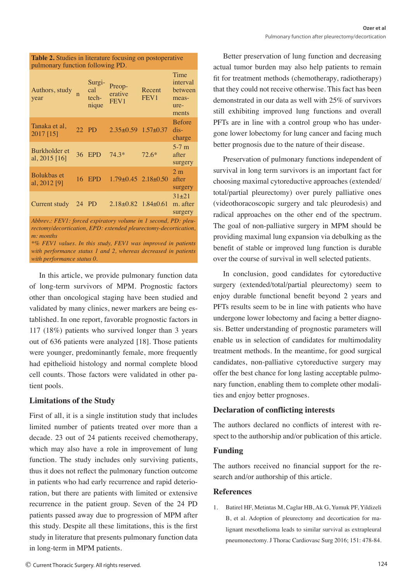| <b>Table 2.</b> Studies in literature focusing on postoperative<br>pulmonary function following PD.                                              |  |                                 |                                        |                            |                                                       |  |  |
|--------------------------------------------------------------------------------------------------------------------------------------------------|--|---------------------------------|----------------------------------------|----------------------------|-------------------------------------------------------|--|--|
| Authors, study<br>year                                                                                                                           |  | Surgi-<br>cal<br>tech-<br>nique | Preop-<br>erative<br>FEV1              | Recent<br>FEV <sub>1</sub> | Time<br>interval<br>between<br>meas-<br>ure-<br>ments |  |  |
| Tanaka et al.<br>2017 [15]                                                                                                                       |  | 22 PD                           | $2.35\pm0.59$ 1.57 $\pm$ 0.37          |                            | <b>Before</b><br>$dis-$<br>charge                     |  |  |
| Burkholder et<br>al, $2015$ [16]                                                                                                                 |  | 36 EPD                          | $74.3*$                                | $72.6*$                    | $5-7$ m<br>after<br>surgery                           |  |  |
| Bolukbas et<br>al, 2012 [9]                                                                                                                      |  |                                 | 16 EPD $1.79 \pm 0.45$ $2.18 \pm 0.50$ |                            | 2 <sub>m</sub><br>after<br>surgery                    |  |  |
| Current study                                                                                                                                    |  | 24 PD                           | $2.18 \pm 0.82$ 1.84 $\pm 0.61$        |                            | $31 + 21$<br>m. after<br>surgery                      |  |  |
| Abbrev.: FEV1: forced expiratory volume in 1 second, PD: pleu-<br>rectomy/decortication, EPD: extended pleurectomy-decortication,<br>$m:$ months |  |                                 |                                        |                            |                                                       |  |  |

*\*% FEV1 values. In this study, FEV1 was improved in patients with performance status 1 and 2, whereas decreased in patients with performance status 0.*

In this article, we provide pulmonary function data of long-term survivors of MPM. Prognostic factors other than oncological staging have been studied and validated by many clinics, newer markers are being established. In one report, favorable prognostic factors in 117 (18%) patients who survived longer than 3 years out of 636 patients were analyzed [18]. Those patients were younger, predominantly female, more frequently had epithelioid histology and normal complete blood cell counts. Those factors were validated in other patient pools.

#### **Limitations of the Study**

First of all, it is a single institution study that includes limited number of patients treated over more than a decade. 23 out of 24 patients received chemotherapy, which may also have a role in improvement of lung function. The study includes only surviving patients, thus it does not reflect the pulmonary function outcome in patients who had early recurrence and rapid deterioration, but there are patients with limited or extensive recurrence in the patient group. Seven of the 24 PD patients passed away due to progression of MPM after this study. Despite all these limitations, this is the first study in literature that presents pulmonary function data in long-term in MPM patients.

Better preservation of lung function and decreasing actual tumor burden may also help patients to remain fit for treatment methods (chemotherapy, radiotherapy) that they could not receive otherwise. This fact has been demonstrated in our data as well with 25% of survivors still exhibiting improved lung functions and overall PFTs are in line with a control group who has undergone lower lobectomy for lung cancer and facing much better prognosis due to the nature of their disease.

Preservation of pulmonary functions independent of survival in long term survivors is an important fact for choosing maximal cytoreductive approaches (extended/ total/partial pleurectomy) over purely palliative ones (videothoracoscopic surgery and talc pleurodesis) and radical approaches on the other end of the spectrum. The goal of non-palliative surgery in MPM should be providing maximal lung expansion via debulking as the benefit of stable or improved lung function is durable over the course of survival in well selected patients.

In conclusion, good candidates for cytoreductive surgery (extended/total/partial pleurectomy) seem to enjoy durable functional benefit beyond 2 years and PFTs results seem to be in line with patients who have undergone lower lobectomy and facing a better diagnosis. Better understanding of prognostic parameters will enable us in selection of candidates for multimodality treatment methods. In the meantime, for good surgical candidates, non-palliative cytoreductive surgery may offer the best chance for long lasting acceptable pulmonary function, enabling them to complete other modalities and enjoy better prognoses.

## **Declaration of conflicting interests**

The authors declared no conflicts of interest with respect to the authorship and/or publication of this article.

# **Funding**

The authors received no financial support for the research and/or authorship of this article.

## **References**

1. Batirel HF, Metintas M, Caglar HB, Ak G, Yumuk PF, Yildizeli B, et al. Adoption of pleurectomy and decortication for malignant mesothelioma leads to similar survival as extrapleural pneumonectomy. J Thorac Cardiovasc Surg 2016; 151: 478-84.